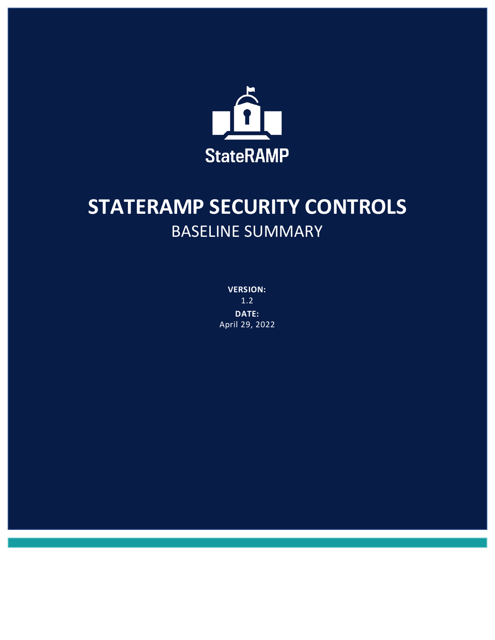

# **STATERAMP SECURITY CONTROLS** BASELINE SUMMARY

**VERSION:** 1.2 **DATE:** April 29, 2022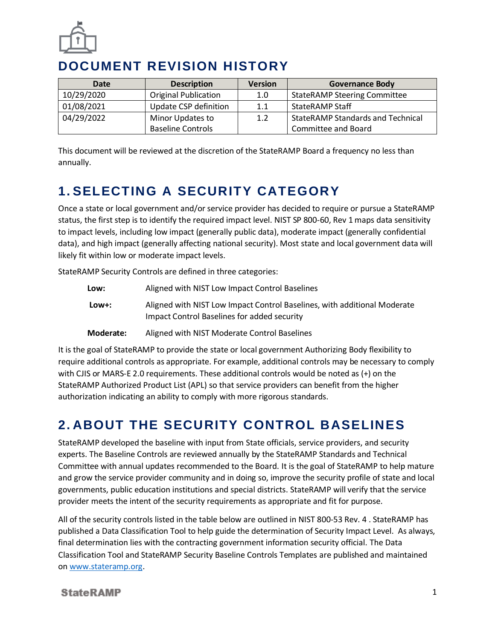

### **DOCUMENT REVISION HISTORY**

| <b>Date</b> | <b>Description</b>          | <b>Version</b> | <b>Governance Body</b>                   |
|-------------|-----------------------------|----------------|------------------------------------------|
| 10/29/2020  | <b>Original Publication</b> | 1.0            | <b>StateRAMP Steering Committee</b>      |
| 01/08/2021  | Update CSP definition       | 1.1            | <b>StateRAMP Staff</b>                   |
| 04/29/2022  | Minor Updates to            | 1.2            | <b>StateRAMP Standards and Technical</b> |
|             | <b>Baseline Controls</b>    |                | Committee and Board                      |

This document will be reviewed at the discretion of the StateRAMP Board a frequency no less than annually.

# **1. SELECTING A SECURITY CATEGORY**

Once a state or local government and/or service provider has decided to require or pursue a StateRAMP status, the first step is to identify the required impact level. NIST SP 800-60, Rev 1 maps data sensitivity to impact levels, including low impact (generally public data), moderate impact (generally confidential data), and high impact (generally affecting national security). Most state and local government data will likely fit within low or moderate impact levels.

StateRAMP Security Controls are defined in three categories:

| Low:  | Aligned with NIST Low Impact Control Baselines                                                                          |
|-------|-------------------------------------------------------------------------------------------------------------------------|
| Low+: | Aligned with NIST Low Impact Control Baselines, with additional Moderate<br>Impact Control Baselines for added security |
|       |                                                                                                                         |

**Moderate:** Aligned with NIST Moderate Control Baselines

It is the goal of StateRAMP to provide the state or local government Authorizing Body flexibility to require additional controls as appropriate. For example, additional controls may be necessary to comply with CJIS or MARS-E 2.0 requirements. These additional controls would be noted as (+) on the StateRAMP Authorized Product List (APL) so that service providers can benefit from the higher authorization indicating an ability to comply with more rigorous standards.

## **2. ABOUT THE SECURITY CONTROL BASELINES**

StateRAMP developed the baseline with input from State officials, service providers, and security experts. The Baseline Controls are reviewed annually by the StateRAMP Standards and Technical Committee with annual updates recommended to the Board. It is the goal of StateRAMP to help mature and grow the service provider community and in doing so, improve the security profile of state and local governments, public education institutions and special districts. StateRAMP will verify that the service provider meets the intent of the security requirements as appropriate and fit for purpose.

All of the security controls listed in the table below are outlined in NIST 800-53 Rev. 4 . StateRAMP has published a Data Classification Tool to help guide the determination of Security Impact Level. As always, final determination lies with the contracting government information security official. The Data Classification Tool and StateRAMP Security Baseline Controls Templates are published and maintained on [www.stateramp.org.](http://www.stateramp.org/)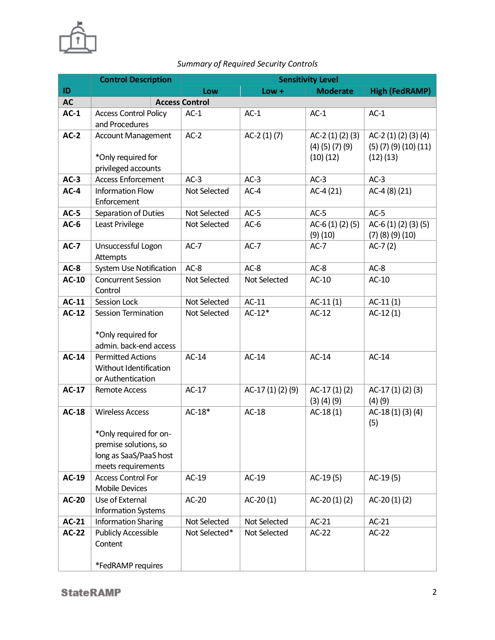

#### *Summary of Required Security Controls*

|              | <b>Control Description</b>                                                                                                |                       | <b>Sensitivity Level</b> |                                                   |                                                                     |  |
|--------------|---------------------------------------------------------------------------------------------------------------------------|-----------------------|--------------------------|---------------------------------------------------|---------------------------------------------------------------------|--|
| ID           |                                                                                                                           | Low                   | $Low +$                  | <b>Moderate</b>                                   | <b>High (FedRAMP)</b>                                               |  |
| <b>AC</b>    |                                                                                                                           | <b>Access Control</b> |                          |                                                   |                                                                     |  |
| $AC-1$       | <b>Access Control Policy</b><br>and Procedures                                                                            | $AC-1$                | $AC-1$                   | $AC-1$                                            | $AC-1$                                                              |  |
| $AC-2$       | <b>Account Management</b><br>*Only required for<br>privileged accounts                                                    | $AC-2$                | $AC-2(1)(7)$             | AC-2 $(1)(2)(3)$<br>$(4)$ (5) (7) (9)<br>(10)(12) | AC-2 (1) (2) (3) (4)<br>$(5)$ $(7)$ $(9)$ $(10)$ $(11)$<br>(12)(13) |  |
| $AC-3$       | <b>Access Enforcement</b>                                                                                                 | $AC-3$                | $AC-3$                   | $AC-3$                                            | $AC-3$                                                              |  |
| $AC-4$       | Information Flow<br>Enforcement                                                                                           | Not Selected          | $AC-4$                   | $AC-4(21)$                                        | AC-4 $(8)(21)$                                                      |  |
| $AC-5$       | Separation of Duties                                                                                                      | Not Selected          | $AC-5$                   | $AC-5$                                            | $AC-5$                                                              |  |
| $AC-6$       | Least Privilege                                                                                                           | Not Selected          | $AC-6$                   | AC-6 $(1)(2)(5)$<br>(9)(10)                       | AC-6 (1) (2) (3) (5)<br>$(7)$ $(8)$ $(9)$ $(10)$                    |  |
| $AC-7$       | Unsuccessful Logon<br>Attempts                                                                                            | $AC-7$                | $AC-7$                   | $AC-7$                                            | $AC-7(2)$                                                           |  |
| $AC-8$       | System Use Notification                                                                                                   | $AC-8$                | $AC-8$                   | $AC-8$                                            | $AC-8$                                                              |  |
| <b>AC-10</b> | <b>Concurrent Session</b><br>Control                                                                                      | Not Selected          | Not Selected             | $AC-10$                                           | $AC-10$                                                             |  |
| $AC-11$      | Session Lock                                                                                                              | Not Selected          | $AC-11$                  | $AC-11(1)$                                        | $AC-11(1)$                                                          |  |
| $AC-12$      | <b>Session Termination</b><br>*Only required for<br>admin. back-end access                                                | Not Selected          | $AC-12*$                 | $AC-12$                                           | $AC-12(1)$                                                          |  |
| $AC-14$      | <b>Permitted Actions</b><br>Without Identification<br>or Authentication                                                   | $AC-14$               | $AC-14$                  | $AC-14$                                           | $AC-14$                                                             |  |
| <b>AC-17</b> | <b>Remote Access</b>                                                                                                      | $AC-17$               | AC-17(1)(2)(9)           | $AC-17(1)(2)$<br>$(3)$ $(4)$ $(9)$                | AC-17(1)(2)(3)<br>(4)(9)                                            |  |
| <b>AC-18</b> | <b>Wireless Access</b><br>*Only required for on-<br>premise solutions, so<br>long as SaaS/PaaS host<br>meets requirements | $AC-18*$              | $AC-18$                  | $AC-18(1)$                                        | AC-18 (1) (3) (4)<br>(5)                                            |  |
| AC-19        | <b>Access Control For</b><br><b>Mobile Devices</b>                                                                        | AC-19                 | $AC-19$                  | AC-19(5)                                          | AC-19(5)                                                            |  |
| <b>AC-20</b> | Use of External<br><b>Information Systems</b>                                                                             | AC-20                 | $AC-20(1)$               | $AC-20(1)(2)$                                     | AC-20 $(1)(2)$                                                      |  |
| <b>AC-21</b> | <b>Information Sharing</b>                                                                                                | Not Selected          | Not Selected             | $AC-21$                                           | $AC-21$                                                             |  |
| <b>AC-22</b> | <b>Publicly Accessible</b><br>Content                                                                                     | Not Selected*         | Not Selected             | $AC-22$                                           | $AC-22$                                                             |  |
|              | *FedRAMP requires                                                                                                         |                       |                          |                                                   |                                                                     |  |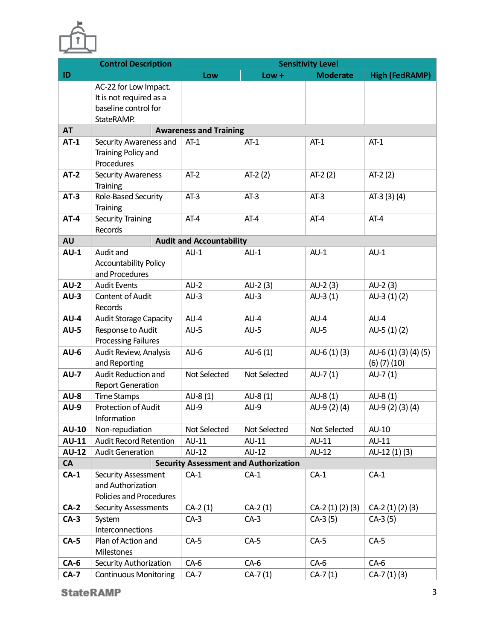

|              | <b>Control Description</b><br><b>Sensitivity Level</b> |                                 |                                              |                 |                       |
|--------------|--------------------------------------------------------|---------------------------------|----------------------------------------------|-----------------|-----------------------|
| ID           |                                                        | Low                             | $Low +$                                      | <b>Moderate</b> | <b>High (FedRAMP)</b> |
|              | AC-22 for Low Impact.                                  |                                 |                                              |                 |                       |
|              | It is not required as a                                |                                 |                                              |                 |                       |
|              | baseline control for                                   |                                 |                                              |                 |                       |
|              | StateRAMP.                                             |                                 |                                              |                 |                       |
| <b>AT</b>    |                                                        | <b>Awareness and Training</b>   |                                              |                 |                       |
| $AT-1$       | Security Awareness and                                 | $AT-1$                          | $AT-1$                                       | $AT-1$          | $AT-1$                |
|              | Training Policy and<br>Procedures                      |                                 |                                              |                 |                       |
| $AT-2$       | <b>Security Awareness</b>                              | $AT-2$                          | $AT-2(2)$                                    | $AT-2(2)$       | $AT-2(2)$             |
|              | Training                                               |                                 |                                              |                 |                       |
| $AT-3$       | Role-Based Security                                    | $AT-3$                          | $AT-3$                                       | $AT-3$          | AT-3 (3) (4)          |
|              | Training                                               |                                 |                                              |                 |                       |
| $AT-4$       | <b>Security Training</b>                               | $AT-4$                          | $AT-4$                                       | $AT-4$          | $AT-4$                |
|              | <b>Records</b>                                         |                                 |                                              |                 |                       |
| <b>AU</b>    |                                                        | <b>Audit and Accountability</b> |                                              |                 |                       |
| $AU-1$       | Audit and                                              | $AU-1$                          | $AU-1$                                       | $AU-1$          | $AU-1$                |
|              | <b>Accountability Policy</b>                           |                                 |                                              |                 |                       |
|              | and Procedures                                         |                                 |                                              |                 |                       |
| $AU-2$       | <b>Audit Events</b>                                    | $AU-2$                          | $AU-2(3)$                                    | $AU-2(3)$       | $AU-2(3)$             |
| $AU-3$       | <b>Content of Audit</b>                                | $AU-3$                          | $AU-3$                                       | AU-3 $(1)$      | AU-3 (1) (2)          |
|              | Records                                                |                                 |                                              |                 |                       |
| $AU-4$       | <b>Audit Storage Capacity</b>                          | $AU-4$                          | $AU-4$                                       | $AU-4$          | $AU-4$                |
| $AU-5$       | Response to Audit<br><b>Processing Failures</b>        | $AU-5$                          | $AU-5$                                       | $AU-5$          | AU-5 $(1)(2)$         |
| $AU-6$       | Audit Review, Analysis                                 | $AU-6$                          | AU- $6(1)$                                   | AU-6 $(1)(3)$   | AU-6 (1) (3) (4) (5)  |
|              | and Reporting                                          |                                 |                                              |                 | $(6)$ $(7)$ $(10)$    |
| $AU-7$       | Audit Reduction and<br><b>Report Generation</b>        | Not Selected                    | Not Selected                                 | $AU-7(1)$       | AU-7 (1)              |
| $AU-8$       | <b>Time Stamps</b>                                     | $AU-8(1)$                       | AU-8 $(1)$                                   | AU-8 (1)        | AU-8 (1)              |
| <b>AU-9</b>  | <b>Protection of Audit</b>                             | $AU-9$                          | $AU-9$                                       | AU-9 (2) (4)    | AU-9 (2) (3) (4)      |
|              | <b>Information</b>                                     |                                 |                                              |                 |                       |
| <b>AU-10</b> | Non-repudiation                                        | Not Selected                    | Not Selected                                 | Not Selected    | AU-10                 |
| <b>AU-11</b> | <b>Audit Record Retention</b>                          | AU-11                           | AU-11                                        | AU-11           | AU-11                 |
| <b>AU-12</b> | <b>Audit Generation</b>                                | AU-12                           | AU-12                                        | AU-12           | AU-12 (1) (3)         |
| CA           |                                                        |                                 | <b>Security Assessment and Authorization</b> |                 |                       |
| $CA-1$       | Security Assessment                                    | $CA-1$                          | $CA-1$                                       | $CA-1$          | $CA-1$                |
|              | and Authorization                                      |                                 |                                              |                 |                       |
|              | Policies and Procedures                                |                                 |                                              |                 |                       |
| $CA-2$       | <b>Security Assessments</b>                            | $CA-2(1)$                       | $CA-2(1)$                                    | $CA-2(1)(2)(3)$ | $CA-2(1)(2)(3)$       |
| $CA-3$       | System                                                 | $CA-3$                          | $CA-3$                                       | $CA-3(5)$       | $CA-3(5)$             |
|              | Interconnections                                       |                                 |                                              |                 |                       |
| $CA-5$       | Plan of Action and                                     | $CA-5$                          | $CA-5$                                       | $CA-5$          | $CA-5$                |
|              | Milestones                                             |                                 |                                              |                 |                       |
| $CA-6$       | Security Authorization                                 | $CA-6$                          | $CA-6$                                       | $CA-6$          | $CA-6$                |
| $CA-7$       | <b>Continuous Monitoring</b>                           | $CA-7$                          | $CA-7(1)$                                    | $CA-7(1)$       | $CA-7(1)(3)$          |

**StateRAMP**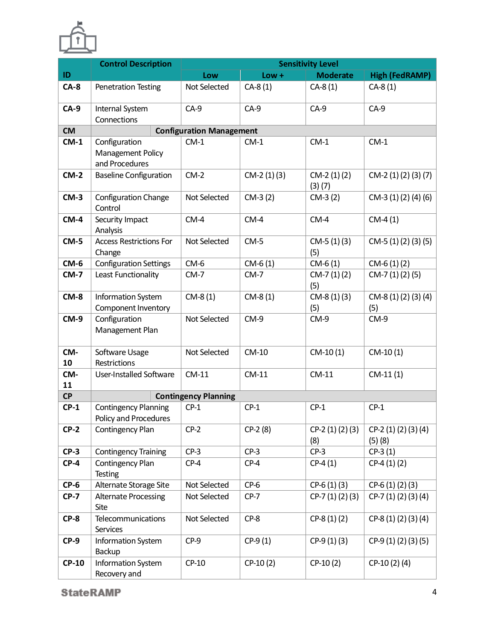

|              | <b>Control Description</b>                           | <b>Sensitivity Level</b>        |              |                        |                                |  |
|--------------|------------------------------------------------------|---------------------------------|--------------|------------------------|--------------------------------|--|
| ID           |                                                      | Low                             | $Low +$      | <b>Moderate</b>        | <b>High (FedRAMP)</b>          |  |
| $CA-8$       | <b>Penetration Testing</b>                           | Not Selected                    | $CA-8(1)$    | $CA-8(1)$              | $CA-8(1)$                      |  |
| $CA-9$       | Internal System<br>Connections                       | $CA-9$                          | $CA-9$       | $CA-9$                 | $CA-9$                         |  |
| <b>CM</b>    |                                                      | <b>Configuration Management</b> |              |                        |                                |  |
| $CM-1$       | Configuration<br>Management Policy<br>and Procedures | $CM-1$                          | $CM-1$       | $CM-1$                 | $CM-1$                         |  |
| $CM-2$       | <b>Baseline Configuration</b>                        | $CM-2$                          | $CM-2(1)(3)$ | $CM-2(1)(2)$<br>(3)(7) | $CM-2(1)(2)(3)(7)$             |  |
| $CM-3$       | Configuration Change<br>Control                      | Not Selected                    | $CM-3(2)$    | $CM-3(2)$              | $CM-3(1)(2)(4)(6)$             |  |
| $CM-4$       | Security Impact<br>Analysis                          | $CM-4$                          | $CM-4$       | $CM-4$                 | $CM-4(1)$                      |  |
| $CM-5$       | <b>Access Restrictions For</b><br>Change             | Not Selected                    | $CM-5$       | $CM-5(1)(3)$<br>(5)    | $CM-5(1)(2)(3)(5)$             |  |
| $CM-6$       | <b>Configuration Settings</b>                        | $CM-6$                          | $CM-6(1)$    | $CM-6(1)$              | $CM-6(1)(2)$                   |  |
| $CM-7$       | Least Functionality                                  | $CM-7$                          | $CM-7$       | $CM-7(1)(2)$<br>(5)    | $CM-7(1)(2)(5)$                |  |
| $CM-8$       | Information System<br>Component Inventory            | $CM-8(1)$                       | $CM-8(1)$    | $CM-8(1)(3)$<br>(5)    | CM-8 (1) (2) (3) (4)<br>(5)    |  |
| $CM-9$       | Configuration<br>Management Plan                     | Not Selected                    | $CM-9$       | CM-9                   | $CM-9$                         |  |
| CM-<br>10    | Software Usage<br>Restrictions                       | Not Selected                    | CM-10        | $CM-10(1)$             | $CM-10(1)$                     |  |
| CM-<br>11    | User-Installed Software                              | $CM-11$                         | $CM-11$      | $CM-11$                | $CM-11(1)$                     |  |
| CP           |                                                      | <b>Contingency Planning</b>     |              |                        |                                |  |
| $CP-1$       | <b>Contingency Planning</b><br>Policy and Procedures | $CP-1$                          | $CP-1$       | $CP-1$                 | $CP-1$                         |  |
| $CP-2$       | Contingency Plan                                     | $CP-2$                          | $CP-2(8)$    | $CP-2(1)(2)(3)$<br>(8) | CP-2 (1) (2) (3) (4)<br>(5)(8) |  |
| $CP-3$       | <b>Contingency Training</b>                          | $CP-3$                          | $CP-3$       | $CP-3$                 | $CP-3(1)$                      |  |
| $CP-4$       | Contingency Plan<br>Testing                          | $CP-4$                          | $CP-4$       | $CP-4(1)$              | $CP-4(1)(2)$                   |  |
| $CP-6$       | Alternate Storage Site                               | Not Selected                    | $CP-6$       | $CP-6(1)(3)$           | $CP-6(1)(2)(3)$                |  |
| $CP-7$       | <b>Alternate Processing</b><br>Site                  | Not Selected                    | $CP-7$       | $CP-7(1)(2)(3)$        | CP-7 (1) (2) (3) (4)           |  |
| $CP-8$       | Telecommunications<br>Services                       | Not Selected                    | $CP-8$       | $CP-8(1)(2)$           | CP-8 (1) (2) (3) (4)           |  |
| $CP-9$       | Information System<br>Backup                         | $CP-9$                          | $CP-9(1)$    | $CP-9(1)(3)$           | CP-9 (1) (2) (3) (5)           |  |
| <b>CP-10</b> | Information System<br>Recovery and                   | CP-10                           | $CP-10(2)$   | $CP-10(2)$             | CP-10 (2) (4)                  |  |

**StateRAMP**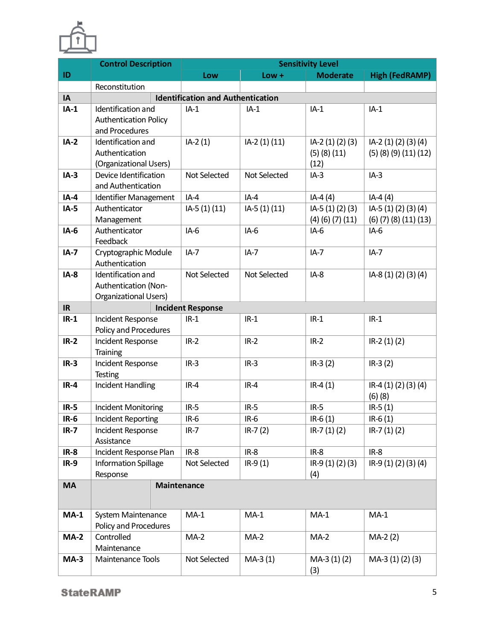

|           | <b>Control Description</b>                  | <b>Sensitivity Level</b>                 |               |                          |                                 |  |
|-----------|---------------------------------------------|------------------------------------------|---------------|--------------------------|---------------------------------|--|
| ID        |                                             | Low                                      | $Low +$       | <b>Moderate</b>          | <b>High (FedRAMP)</b>           |  |
|           | Reconstitution                              |                                          |               |                          |                                 |  |
| IA        |                                             | <b>Identification and Authentication</b> |               |                          |                                 |  |
| $IA-1$    | Identification and                          | $IA-1$                                   | $IA-1$        | $IA-1$                   | $IA-1$                          |  |
|           | <b>Authentication Policy</b>                |                                          |               |                          |                                 |  |
|           | and Procedures                              |                                          |               |                          |                                 |  |
| $IA-2$    | Identification and                          | $IA-2(1)$                                | IA-2 (1) (11) | IA-2 (1) (2) (3)         | IA-2 (1) (2) (3) (4)            |  |
|           | Authentication                              |                                          |               | $(5)$ $(8)$ $(11)$       | $(5)$ $(8)$ $(9)$ $(11)$ $(12)$ |  |
|           | (Organizational Users)                      |                                          |               | (12)                     |                                 |  |
| $IA-3$    | Device Identification<br>and Authentication | Not Selected                             | Not Selected  | $IA-3$                   | $IA-3$                          |  |
| $IA-4$    | Identifier Management                       | $IA-4$                                   | $IA-4$        | $IA-4(4)$                | $IA-4(4)$                       |  |
| $IA-5$    | Authenticator                               | IA-5 (1) (11)                            | IA-5 (1) (11) | IA-5 (1) (2) (3)         | IA-5 (1) (2) (3) (4)            |  |
|           | Management                                  |                                          |               | $(4)$ $(6)$ $(7)$ $(11)$ | $(6)$ $(7)$ $(8)$ $(11)$ $(13)$ |  |
| $IA-6$    | Authenticator                               | $IA-6$                                   | $IA-6$        | $IA-6$                   | $IA-6$                          |  |
|           | Feedback                                    |                                          |               |                          |                                 |  |
| $IA-7$    | Cryptographic Module                        | $IA-7$                                   | $IA-7$        | $IA-7$                   | $IA-7$                          |  |
|           | Authentication                              |                                          |               |                          |                                 |  |
| $IA-8$    | Identification and                          | Not Selected                             | Not Selected  | $IA-8$                   | IA-8 (1) (2) (3) (4)            |  |
|           | Authentication (Non-                        |                                          |               |                          |                                 |  |
|           | Organizational Users)                       |                                          |               |                          |                                 |  |
| IR        |                                             | <b>Incident Response</b>                 |               |                          |                                 |  |
| $IR-1$    | Incident Response                           | $IR-1$                                   | $IR-1$        | $IR-1$                   | $IR-1$                          |  |
| $IR-2$    | Policy and Procedures                       |                                          |               |                          |                                 |  |
|           | Incident Response<br>Training               | $IR-2$                                   | $IR-2$        | $IR-2$                   | $IR-2(1)(2)$                    |  |
| $IR-3$    | Incident Response                           | $IR-3$                                   | $IR-3$        | $IR-3(2)$                | $IR-3(2)$                       |  |
|           | <b>Testing</b>                              |                                          |               |                          |                                 |  |
| $IR-4$    | <b>Incident Handling</b>                    | $IR-4$                                   | $IR-4$        | $IR-4(1)$                | IR-4 (1) (2) (3) (4)            |  |
|           |                                             |                                          |               |                          | $(6)$ $(8)$                     |  |
| $IR-5$    | Incident Monitoring                         | $IR-5$                                   | $IR-5$        | $IR-5$                   | $IR-5(1)$                       |  |
| $IR-6$    | Incident Reporting                          | $IR-6$                                   | $IR-6$        | $IR-6(1)$                | $IR-6(1)$                       |  |
| $IR-7$    | Incident Response                           | $IR-7$                                   | $IR - 7(2)$   | $IR - 7(1)(2)$           | $IR - 7(1)(2)$                  |  |
|           | Assistance                                  |                                          |               |                          |                                 |  |
| $IR-8$    | Incident Response Plan                      | $IR-8$                                   | $IR-8$        | $IR-8$                   | $IR-8$                          |  |
| $IR-9$    | <b>Information Spillage</b>                 | Not Selected                             | $IR-9(1)$     | $IR-9(1)(2)(3)$          | IR-9 (1) (2) (3) (4)            |  |
|           | Response                                    |                                          |               | (4)                      |                                 |  |
| <b>MA</b> | <b>Maintenance</b>                          |                                          |               |                          |                                 |  |
|           |                                             |                                          |               |                          |                                 |  |
| $MA-1$    | System Maintenance                          | $MA-1$                                   | $MA-1$        | $MA-1$                   | $MA-1$                          |  |
|           | Policy and Procedures                       |                                          |               |                          |                                 |  |
| $MA-2$    | Controlled                                  | $MA-2$                                   | $MA-2$        | $MA-2$                   | $MA-2(2)$                       |  |
|           | Maintenance                                 |                                          |               |                          |                                 |  |
| $MA-3$    | Maintenance Tools                           | Not Selected                             | $MA-3(1)$     | $MA-3(1)(2)$             | MA-3 (1) (2) (3)                |  |
|           |                                             |                                          |               | (3)                      |                                 |  |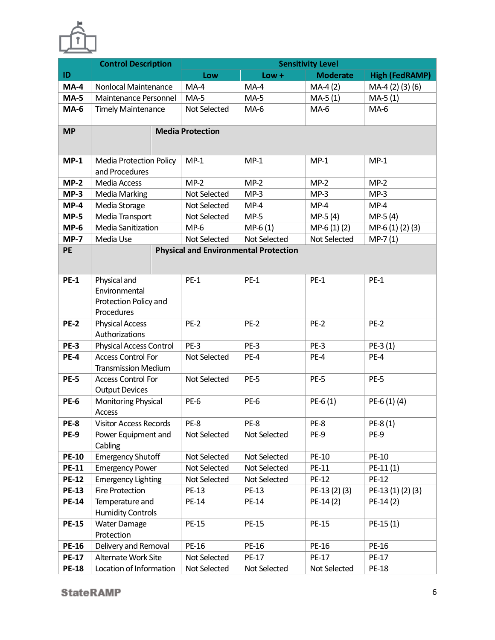

|                            | <b>Control Description</b>                                                           | <b>Sensitivity Level</b>     |                                              |                 |                       |  |
|----------------------------|--------------------------------------------------------------------------------------|------------------------------|----------------------------------------------|-----------------|-----------------------|--|
| ID                         |                                                                                      | Low                          | $Low +$                                      | <b>Moderate</b> | <b>High (FedRAMP)</b> |  |
| $MA-4$                     | Nonlocal Maintenance                                                                 | $MA-4$                       | $MA-4$                                       | $MA-4(2)$       | MA-4 (2) (3) (6)      |  |
| $MA-5$                     | Maintenance Personnel                                                                | $MA-5$                       | $MA-5$                                       | $MA-5(1)$       | $MA-5(1)$             |  |
| $MA-6$                     | <b>Timely Maintenance</b>                                                            | Not Selected                 | $MA-6$                                       | $MA-6$          | $MA-6$                |  |
| <b>MP</b>                  |                                                                                      | <b>Media Protection</b>      |                                              |                 |                       |  |
| $MP-1$                     | <b>Media Protection Policy</b><br>and Procedures                                     | $MP-1$                       | $MP-1$                                       | $MP-1$          | $MP-1$                |  |
| $MP-2$                     | Media Access                                                                         | $MP-2$                       | $MP-2$                                       | $MP-2$          | $MP-2$                |  |
| $MP-3$                     | <b>Media Marking</b>                                                                 | Not Selected                 | $MP-3$                                       | $MP-3$          | $MP-3$                |  |
| $MP-4$                     | Media Storage                                                                        | Not Selected                 | $MP-4$                                       | $MP-4$          | $MP-4$                |  |
| $MP-5$                     | Media Transport                                                                      | Not Selected                 | $MP-5$                                       | $MP-5(4)$       | $MP-5(4)$             |  |
| $MP-6$                     | <b>Media Sanitization</b>                                                            | $MP-6$                       | $MP-6(1)$                                    | $MP-6(1)(2)$    | MP-6 (1) (2) (3)      |  |
| $MP-7$                     | Media Use                                                                            | Not Selected                 | Not Selected                                 | Not Selected    | $MP-7(1)$             |  |
| PE                         |                                                                                      |                              | <b>Physical and Environmental Protection</b> |                 |                       |  |
| <b>PE-1</b>                | Physical and<br>Environmental<br>Protection Policy and<br>Procedures                 | $PE-1$                       | $PE-1$                                       | $PE-1$          | $PE-1$                |  |
| <b>PE-2</b>                | <b>Physical Access</b><br>Authorizations                                             | $PE-2$                       | PE-2                                         | $PE-2$          | <b>PE-2</b>           |  |
| <b>PE-3</b>                | <b>Physical Access Control</b>                                                       | $PE-3$                       | PE-3                                         | PE-3            | $PE-3(1)$             |  |
| <b>PE-4</b><br><b>PE-5</b> | <b>Access Control For</b><br><b>Transmission Medium</b><br><b>Access Control For</b> | Not Selected<br>Not Selected | PE-4<br>PE-5                                 | PE-4<br>PE-5    | PE-4<br><b>PE-5</b>   |  |
|                            | <b>Output Devices</b>                                                                |                              |                                              |                 |                       |  |
| <b>PE-6</b>                | Monitoring Physical<br>Access                                                        | PE-6                         | PE-6                                         | $PE-6(1)$       | $PE-6(1)(4)$          |  |
| PE-8                       | <b>Visitor Access Records</b>                                                        | PE-8                         | PE-8                                         | PE-8            | PE-8 (1)              |  |
| <b>PE-9</b>                | Power Equipment and<br>Cabling                                                       | Not Selected                 | Not Selected                                 | PE-9            | PE-9                  |  |
| <b>PE-10</b>               | <b>Emergency Shutoff</b>                                                             | Not Selected                 | Not Selected                                 | PE-10           | PE-10                 |  |
| <b>PE-11</b>               | <b>Emergency Power</b>                                                               | Not Selected                 | Not Selected                                 | PE-11           | PE-11(1)              |  |
| <b>PE-12</b>               | <b>Emergency Lighting</b>                                                            | Not Selected                 | Not Selected                                 | <b>PE-12</b>    | <b>PE-12</b>          |  |
| <b>PE-13</b>               | <b>Fire Protection</b>                                                               | PE-13                        | PE-13                                        | PE-13 (2) (3)   | PE-13 (1) (2) (3)     |  |
| <b>PE-14</b>               | Temperature and                                                                      | <b>PE-14</b>                 | PE-14                                        | $PE-14(2)$      | $PE-14(2)$            |  |
|                            | <b>Humidity Controls</b>                                                             |                              |                                              |                 |                       |  |
| <b>PE-15</b>               | <b>Water Damage</b><br>Protection                                                    | <b>PE-15</b>                 | <b>PE-15</b>                                 | <b>PE-15</b>    | PE-15(1)              |  |
| <b>PE-16</b>               | Delivery and Removal                                                                 | PE-16                        | PE-16                                        | PE-16           | PE-16                 |  |
| <b>PE-17</b>               | Alternate Work Site                                                                  | Not Selected                 | PE-17                                        | <b>PE-17</b>    | <b>PE-17</b>          |  |
| <b>PE-18</b>               | Location of Information                                                              | Not Selected                 | Not Selected                                 | Not Selected    | <b>PE-18</b>          |  |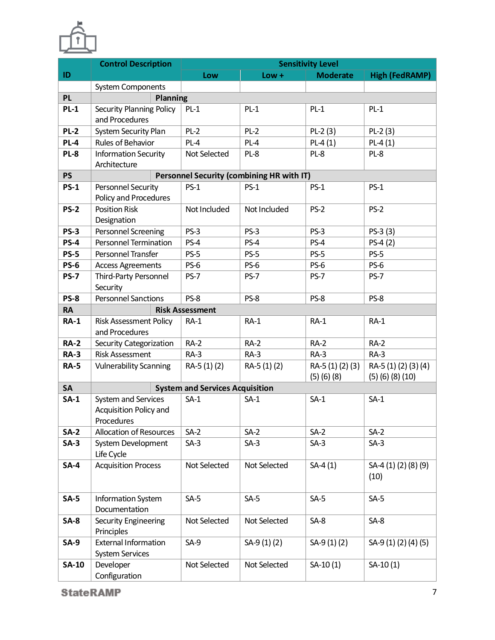

|              | <b>Control Description</b>                                  | <b>Sensitivity Level</b>               |                                           |                                       |                                                  |  |
|--------------|-------------------------------------------------------------|----------------------------------------|-------------------------------------------|---------------------------------------|--------------------------------------------------|--|
| ID           |                                                             | Low                                    | $Low +$                                   | <b>Moderate</b>                       | <b>High (FedRAMP)</b>                            |  |
|              | <b>System Components</b>                                    |                                        |                                           |                                       |                                                  |  |
| <b>PL</b>    | Planning                                                    |                                        |                                           |                                       |                                                  |  |
| $PL-1$       | Security Planning Policy<br>and Procedures                  | $PL-1$                                 | $PL-1$                                    | $PL-1$                                | $PL-1$                                           |  |
|              |                                                             |                                        |                                           |                                       |                                                  |  |
| <b>PL-2</b>  | <b>System Security Plan</b>                                 | $PL-2$                                 | $PL-2$                                    | $PL-2(3)$                             | $PL-2(3)$                                        |  |
| $PL-4$       | Rules of Behavior                                           | $PL-4$                                 | $PL-4$                                    | $PL-4(1)$                             | $PL-4(1)$                                        |  |
| <b>PL-8</b>  | <b>Information Security</b><br>Architecture                 | Not Selected                           | $PL-8$                                    | PL-8                                  | PL-8                                             |  |
| <b>PS</b>    |                                                             |                                        | Personnel Security (combining HR with IT) |                                       |                                                  |  |
| <b>PS-1</b>  | Personnel Security                                          | $PS-1$                                 | $PS-1$                                    | $PS-1$                                | $PS-1$                                           |  |
|              | Policy and Procedures                                       |                                        |                                           |                                       |                                                  |  |
| <b>PS-2</b>  | <b>Position Risk</b>                                        | Not Included                           | Not Included                              | $PS-2$                                | $PS-2$                                           |  |
|              | Designation                                                 |                                        |                                           |                                       |                                                  |  |
| <b>PS-3</b>  | Personnel Screening                                         | PS-3                                   | PS-3                                      | PS-3                                  | $PS-3(3)$                                        |  |
| <b>PS-4</b>  | <b>Personnel Termination</b>                                | $PS-4$                                 | $PS-4$                                    | PS-4                                  | $PS-4(2)$                                        |  |
| <b>PS-5</b>  | Personnel Transfer                                          | $PS-5$                                 | <b>PS-5</b>                               | PS-5                                  | PS-5                                             |  |
| <b>PS-6</b>  | <b>Access Agreements</b>                                    | PS-6                                   | PS-6                                      | PS-6                                  | PS-6                                             |  |
| <b>PS-7</b>  | Third-Party Personnel                                       | PS-7                                   | PS-7                                      | <b>PS-7</b>                           | <b>PS-7</b>                                      |  |
|              | Security                                                    |                                        |                                           |                                       |                                                  |  |
| <b>PS-8</b>  | <b>Personnel Sanctions</b>                                  | PS-8                                   | PS-8                                      | PS-8                                  | <b>PS-8</b>                                      |  |
| <b>RA</b>    |                                                             | <b>Risk Assessment</b>                 |                                           |                                       |                                                  |  |
| <b>RA-1</b>  | <b>Risk Assessment Policy</b><br>and Procedures             | $RA-1$                                 | $RA-1$                                    | $RA-1$                                | $RA-1$                                           |  |
| <b>RA-2</b>  | Security Categorization                                     | $RA-2$                                 | $RA-2$                                    | $RA-2$                                | $RA-2$                                           |  |
| <b>RA-3</b>  | <b>Risk Assessment</b>                                      | $RA-3$                                 | $RA-3$                                    | $RA-3$                                | $RA-3$                                           |  |
| <b>RA-5</b>  | <b>Vulnerability Scanning</b>                               | RA-5 (1) (2)                           | RA-5 (1) (2)                              | RA-5 (1) (2) (3)<br>$(5)$ $(6)$ $(8)$ | RA-5 (1) (2) (3) (4)<br>$(5)$ $(6)$ $(8)$ $(10)$ |  |
| <b>SA</b>    |                                                             | <b>System and Services Acquisition</b> |                                           |                                       |                                                  |  |
| $SA-1$       | System and Services<br>Acquisition Policy and<br>Procedures | $SA-1$                                 | $SA-1$                                    | $SA-1$                                | $SA-1$                                           |  |
| $SA-2$       | <b>Allocation of Resources</b>                              | $SA-2$                                 | $SA-2$                                    | $SA-2$                                | $SA-2$                                           |  |
| $SA-3$       | System Development<br>Life Cycle                            | $SA-3$                                 | $SA-3$                                    | $SA-3$                                | $SA-3$                                           |  |
| $SA-4$       | <b>Acquisition Process</b>                                  | Not Selected                           | Not Selected                              | $SA-4(1)$                             | SA-4 (1) (2) (8) (9)<br>(10)                     |  |
| $SA-5$       | Information System<br>Documentation                         | $SA-5$                                 | $SA-5$                                    | $SA-5$                                | $SA-5$                                           |  |
| $SA-8$       | Security Engineering<br>Principles                          | Not Selected                           | Not Selected                              | $SA-8$                                | $SA-8$                                           |  |
| $SA-9$       | <b>External Information</b><br><b>System Services</b>       | $SA-9$                                 | SA-9 (1) (2)                              | SA-9 (1) (2)                          | SA-9 (1) (2) (4) (5)                             |  |
| <b>SA-10</b> | Developer<br>Configuration                                  | Not Selected                           | Not Selected                              | $SA-10(1)$                            | $SA-10(1)$                                       |  |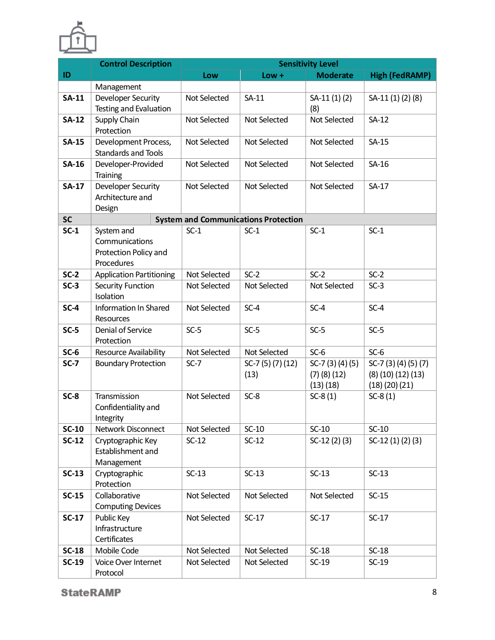

|              | <b>Control Description</b>                                          | <b>Sensitivity Level</b> |                                             |                                                    |                                                         |  |
|--------------|---------------------------------------------------------------------|--------------------------|---------------------------------------------|----------------------------------------------------|---------------------------------------------------------|--|
| ID           |                                                                     | Low                      | $Low +$                                     | <b>Moderate</b>                                    | <b>High (FedRAMP)</b>                                   |  |
|              | Management                                                          |                          |                                             |                                                    |                                                         |  |
| <b>SA-11</b> | Developer Security<br>Testing and Evaluation                        | Not Selected             | $SA-11$                                     | $SA-11(1)(2)$<br>(8)                               | SA-11 (1) (2) (8)                                       |  |
| <b>SA-12</b> | Supply Chain<br>Protection                                          | Not Selected             | Not Selected                                | Not Selected                                       | $SA-12$                                                 |  |
| <b>SA-15</b> | Development Process,<br>Standards and Tools                         | Not Selected             | Not Selected                                | Not Selected                                       | $SA-15$                                                 |  |
| <b>SA-16</b> | Developer-Provided<br>Training                                      | Not Selected             | Not Selected                                | Not Selected                                       | SA-16                                                   |  |
| <b>SA-17</b> | Developer Security<br>Architecture and<br>Design                    | Not Selected             | Not Selected                                | Not Selected                                       | $SA-17$                                                 |  |
| <b>SC</b>    |                                                                     |                          | <b>System and Communications Protection</b> |                                                    |                                                         |  |
| $SC-1$       | System and<br>Communications<br>Protection Policy and<br>Procedures | $SC-1$                   | $SC-1$                                      | $SC-1$                                             | $SC-1$                                                  |  |
| $SC-2$       | <b>Application Partitioning</b>                                     | Not Selected             | $SC-2$                                      | $SC-2$                                             | $SC-2$                                                  |  |
| $SC-3$       | Security Function<br>Isolation                                      | Not Selected             | Not Selected                                | Not Selected                                       | $SC-3$                                                  |  |
| $SC-4$       | Information In Shared<br>Resources                                  | Not Selected             | $SC-4$                                      | $SC-4$                                             | $SC-4$                                                  |  |
| $SC-5$       | Denial of Service<br>Protection                                     | $SC-5$                   | $SC-5$                                      | $SC-5$                                             | $SC-5$                                                  |  |
| $SC-6$       | Resource Availability                                               | Not Selected             | Not Selected                                | $SC-6$                                             | $SC-6$                                                  |  |
| $SC-7$       | <b>Boundary Protection</b>                                          | $SC-7$                   | SC-7 $(5)(7)(12)$<br>(13)                   | SC-7 $(3)(4)(5)$<br>$(7)$ $(8)$ $(12)$<br>(13)(18) | SC-7 (3) (4) (5) (7)<br>(8)(10)(12)(13)<br>(18)(20)(21) |  |
| $SC-8$       | Transmission<br>Confidentiality and<br>Integrity                    | Not Selected             | $SC-8$                                      | $SC-8(1)$                                          | $SC-8(1)$                                               |  |
| <b>SC-10</b> | Network Disconnect                                                  | Not Selected             | $SC-10$                                     | $SC-10$                                            | $SC-10$                                                 |  |
| $SC-12$      | Cryptographic Key<br>Establishment and<br>Management                | $SC-12$                  | $SC-12$                                     | $SC-12(2)(3)$                                      | $SC-12(1)(2)(3)$                                        |  |
| $SC-13$      | Cryptographic<br>Protection                                         | $SC-13$                  | $SC-13$                                     | $SC-13$                                            | $SC-13$                                                 |  |
| $SC-15$      | Collaborative<br><b>Computing Devices</b>                           | Not Selected             | Not Selected                                | Not Selected                                       | $SC-15$                                                 |  |
| $SC-17$      | Public Key<br>Infrastructure<br>Certificates                        | Not Selected             | $SC-17$                                     | $SC-17$                                            | $SC-17$                                                 |  |
| $SC-18$      | Mobile Code                                                         | Not Selected             | Not Selected                                | $SC-18$                                            | $SC-18$                                                 |  |
| $SC-19$      | Voice Over Internet<br>Protocol                                     | Not Selected             | Not Selected                                | $SC-19$                                            | $SC-19$                                                 |  |